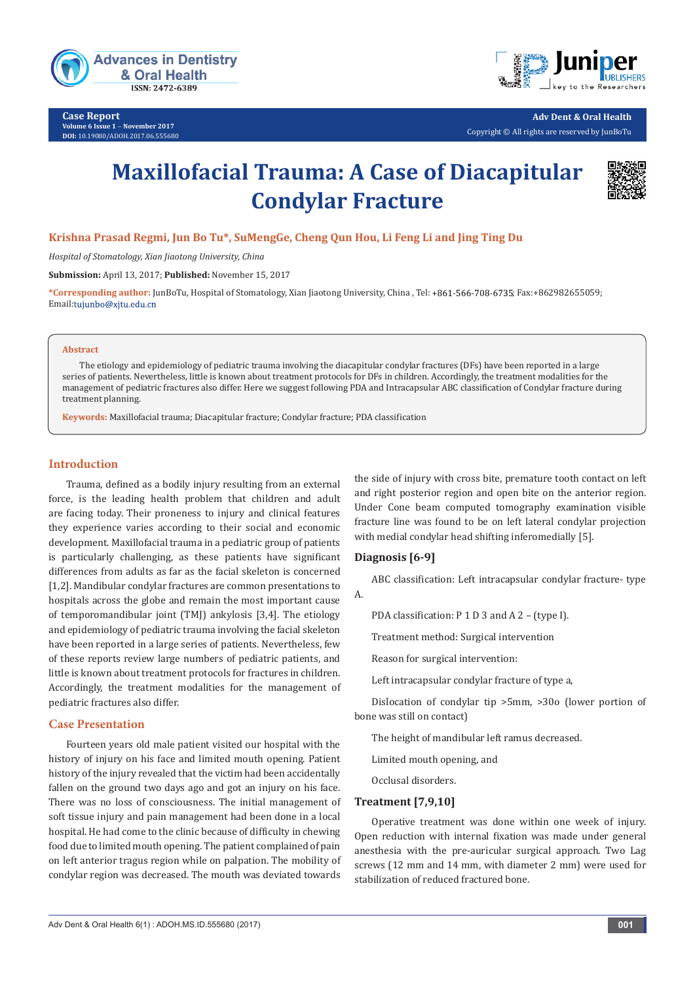

**Case Report Volume 6 Issue 1** - **November 2017 DOI:** [10.19080/ADOH.2017.06.555680](http://dx.doi.org/10.19080/ADOH.2017.06.555680)



**Adv Dent & Oral Health**  Copyright © All rights are reserved by JunBoTu

# **Maxillofacial Trauma: A Case of Diacapitular Condylar Fracture**



# **Krishna Prasad Regmi, Jun Bo Tu\*, SuMengGe, Cheng Qun Hou, Li Feng Li and Jing Ting Du**

*Hospital of Stomatology, Xian Jiaotong University, China*

**Submission:** April 13, 2017; **Published:** November 15, 2017

\*Corresponding author: JunBoTu, Hospital of Stomatology, Xian Jiaotong University, China, Tel: +861-566-708-6735; Fax:+862982655059; Email:tujunbo@xjtu.edu.cn

### **Abstract**

The etiology and epidemiology of pediatric trauma involving the diacapitular condylar fractures (DFs) have been reported in a large series of patients. Nevertheless, little is known about treatment protocols for DFs in children. Accordingly, the treatment modalities for the management of pediatric fractures also differ. Here we suggest following PDA and Intracapsular ABC classification of Condylar fracture during treatment planning.

**Keywords:** Maxillofacial trauma; Diacapitular fracture; Condylar fracture; PDA classification

## **Introduction**

Trauma, defined as a bodily injury resulting from an external force, is the leading health problem that children and adult are facing today. Their proneness to injury and clinical features they experience varies according to their social and economic development. Maxillofacial trauma in a pediatric group of patients is particularly challenging, as these patients have significant differences from adults as far as the facial skeleton is concerned [1,2]. Mandibular condylar fractures are common presentations to hospitals across the globe and remain the most important cause of temporomandibular joint (TMJ) ankylosis [3,4]. The etiology and epidemiology of pediatric trauma involving the facial skeleton have been reported in a large series of patients. Nevertheless, few of these reports review large numbers of pediatric patients, and little is known about treatment protocols for fractures in children. Accordingly, the treatment modalities for the management of pediatric fractures also differ.

## **Case Presentation**

Fourteen years old male patient visited our hospital with the history of injury on his face and limited mouth opening. Patient history of the injury revealed that the victim had been accidentally fallen on the ground two days ago and got an injury on his face. There was no loss of consciousness. The initial management of soft tissue injury and pain management had been done in a local hospital. He had come to the clinic because of difficulty in chewing food due to limited mouth opening. The patient complained of pain on left anterior tragus region while on palpation. The mobility of condylar region was decreased. The mouth was deviated towards

the side of injury with cross bite, premature tooth contact on left and right posterior region and open bite on the anterior region. Under Cone beam computed tomography examination visible fracture line was found to be on left lateral condylar projection with medial condylar head shifting inferomedially [5].

## **Diagnosis [6-9]**

ABC classification: Left intracapsular condylar fracture- type A.

PDA classification: P 1 D 3 and A 2 – (type I).

Treatment method: Surgical intervention

Reason for surgical intervention:

Left intracapsular condylar fracture of type a,

Dislocation of condylar tip >5mm, >30o (lower portion of bone was still on contact)

The height of mandibular left ramus decreased.

Limited mouth opening, and

Occlusal disorders.

## **Treatment [7,9,10]**

Operative treatment was done within one week of injury. Open reduction with internal fixation was made under general anesthesia with the pre-auricular surgical approach. Two Lag screws (12 mm and 14 mm, with diameter 2 mm) were used for stabilization of reduced fractured bone.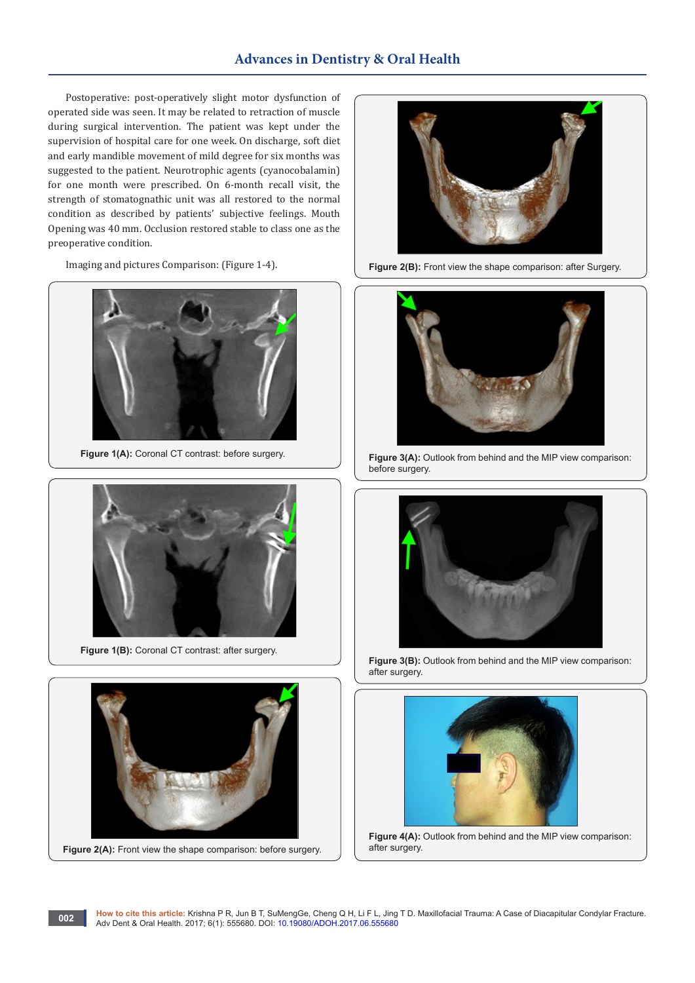# **Advances in Dentistry & Oral Health**

Postoperative: post-operatively slight motor dysfunction of operated side was seen. It may be related to retraction of muscle during surgical intervention. The patient was kept under the supervision of hospital care for one week. On discharge, soft diet and early mandible movement of mild degree for six months was suggested to the patient. Neurotrophic agents (cyanocobalamin) for one month were prescribed. On 6-month recall visit, the strength of stomatognathic unit was all restored to the normal condition as described by patients' subjective feelings. Mouth Opening was 40 mm. Occlusion restored stable to class one as the preoperative condition.

Imaging and pictures Comparison: (Figure 1-4).



Figure 1(A): Coronal CT contrast: before surgery.



Figure 1(B): Coronal CT contrast: after surgery.





**Figure 2(A):** Front view the shape comparison: before surgery.



**Figure 2(B):** Front view the shape comparison: after Surgery.



**Figure 3(A):** Outlook from behind and the MIP view comparison: before surgery.



**Figure 3(B):** Outlook from behind and the MIP view comparison: after surgery.



**Figure 4(A):** Outlook from behind and the MIP view comparison: after surgery.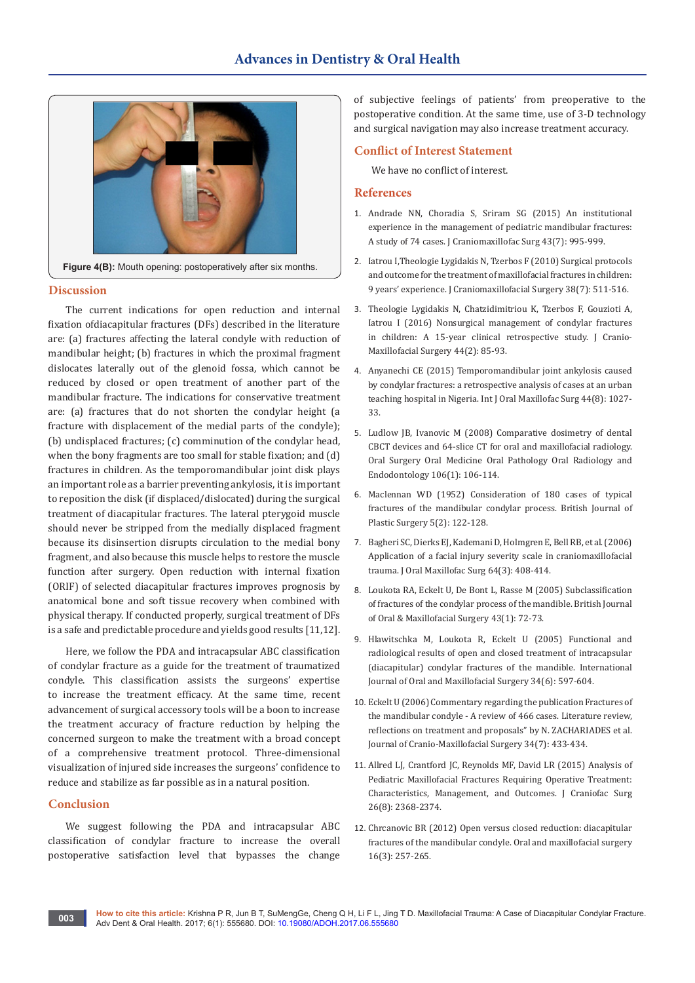

## **Discussion**

The current indications for open reduction and internal fixation ofdiacapitular fractures (DFs) described in the literature are: (a) fractures affecting the lateral condyle with reduction of mandibular height; (b) fractures in which the proximal fragment dislocates laterally out of the glenoid fossa, which cannot be reduced by closed or open treatment of another part of the mandibular fracture. The indications for conservative treatment are: (a) fractures that do not shorten the condylar height (a fracture with displacement of the medial parts of the condyle); (b) undisplaced fractures; (c) comminution of the condylar head, when the bony fragments are too small for stable fixation; and (d) fractures in children. As the temporomandibular joint disk plays an important role as a barrier preventing ankylosis, it is important to reposition the disk (if displaced/dislocated) during the surgical treatment of diacapitular fractures. The lateral pterygoid muscle should never be stripped from the medially displaced fragment because its disinsertion disrupts circulation to the medial bony fragment, and also because this muscle helps to restore the muscle function after surgery. Open reduction with internal fixation (ORIF) of selected diacapitular fractures improves prognosis by anatomical bone and soft tissue recovery when combined with physical therapy. If conducted properly, surgical treatment of DFs is a safe and predictable procedure and yields good results [11,12].

Here, we follow the PDA and intracapsular ABC classification of condylar fracture as a guide for the treatment of traumatized condyle. This classification assists the surgeons' expertise to increase the treatment efficacy. At the same time, recent advancement of surgical accessory tools will be a boon to increase the treatment accuracy of fracture reduction by helping the concerned surgeon to make the treatment with a broad concept of a comprehensive treatment protocol. Three-dimensional visualization of injured side increases the surgeons' confidence to reduce and stabilize as far possible as in a natural position.

## **Conclusion**

We suggest following the PDA and intracapsular ABC classification of condylar fracture to increase the overall postoperative satisfaction level that bypasses the change

of subjective feelings of patients' from preoperative to the postoperative condition. At the same time, use of 3-D technology and surgical navigation may also increase treatment accuracy.

## **Conflict of Interest Statement**

We have no conflict of interest.

## **References**

- 1. [Andrade NN, Choradia S, Sriram SG \(2015\) An institutional](https://www.ncbi.nlm.nih.gov/pubmed/26027869)  [experience in the management of pediatric mandibular fractures:](https://www.ncbi.nlm.nih.gov/pubmed/26027869)  [A study of 74 cases. J Craniomaxillofac Surg 43\(7\): 995-999.](https://www.ncbi.nlm.nih.gov/pubmed/26027869)
- 2. [Iatrou I,Theologie Lygidakis N, Tzerbos F \(2010\) Surgical protocols](file:///D:/WEB%20DATA/krishna/Pending/ADOH.MS.ID.555680/ADOH-CR-17-708_W/Surgical%20protocols%20and%20outcome%20for%20the%20treatment%20of%20maxillofacial%20fractures%20in%20children:%209%20years)  [and outcome for the treatment of maxillofacial fractures in children:](file:///D:/WEB%20DATA/krishna/Pending/ADOH.MS.ID.555680/ADOH-CR-17-708_W/Surgical%20protocols%20and%20outcome%20for%20the%20treatment%20of%20maxillofacial%20fractures%20in%20children:%209%20years)  [9 years' experience. J Craniomaxillofacial Surgery 38\(7\): 511-516.](file:///D:/WEB%20DATA/krishna/Pending/ADOH.MS.ID.555680/ADOH-CR-17-708_W/Surgical%20protocols%20and%20outcome%20for%20the%20treatment%20of%20maxillofacial%20fractures%20in%20children:%209%20years)
- 3. [Theologie Lygidakis N, Chatzidimitriou K, Tzerbos F, Gouzioti A,](https://www.ncbi.nlm.nih.gov/pubmed/26740368)  [Iatrou I \(2016\) Nonsurgical management of condylar fractures](https://www.ncbi.nlm.nih.gov/pubmed/26740368)  [in children: A 15-year clinical retrospective study. J Cranio-](https://www.ncbi.nlm.nih.gov/pubmed/26740368)[Maxillofacial Surgery 44\(2\): 85-93.](https://www.ncbi.nlm.nih.gov/pubmed/26740368)
- 4. [Anyanechi CE \(2015\) Temporomandibular joint ankylosis caused](https://www.ncbi.nlm.nih.gov/pubmed/26008733)  [by condylar fractures: a retrospective analysis of cases at an urban](https://www.ncbi.nlm.nih.gov/pubmed/26008733)  [teaching hospital in Nigeria. Int J Oral Maxillofac Surg 44\(8\): 1027-](https://www.ncbi.nlm.nih.gov/pubmed/26008733) [33.](https://www.ncbi.nlm.nih.gov/pubmed/26008733)
- 5. [Ludlow JB, Ivanovic M \(2008\) Comparative dosimetry of dental](https://www.ncbi.nlm.nih.gov/pubmed/18504152)  [CBCT devices and 64-slice CT for oral and maxillofacial radiology.](https://www.ncbi.nlm.nih.gov/pubmed/18504152)  [Oral Surgery Oral Medicine Oral Pathology Oral Radiology and](https://www.ncbi.nlm.nih.gov/pubmed/18504152)  [Endodontology 106\(1\): 106-114.](https://www.ncbi.nlm.nih.gov/pubmed/18504152)
- 6. [Maclennan WD \(1952\) Consideration of 180 cases of typical](https://www.ncbi.nlm.nih.gov/pubmed/14944782)  [fractures of the mandibular condylar process. British Journal of](https://www.ncbi.nlm.nih.gov/pubmed/14944782)  [Plastic Surgery 5\(2\): 122-128.](https://www.ncbi.nlm.nih.gov/pubmed/14944782)
- 7. [Bagheri SC, Dierks EJ, Kademani D, Holmgren E, Bell RB, et al. \(2006\)](https://www.ncbi.nlm.nih.gov/pubmed/16487802)  [Application of a facial injury severity scale in craniomaxillofacial](https://www.ncbi.nlm.nih.gov/pubmed/16487802)  [trauma. J Oral Maxillofac Surg 64\(3\): 408-414.](https://www.ncbi.nlm.nih.gov/pubmed/16487802)
- 8. [Loukota RA, Eckelt U, De Bont L, Rasse M \(2005\) Subclassification](http://www.sciencedirect.com/science/article/pii/S0266435604001767)  [of fractures of the condylar process of the mandible. British Journal](http://www.sciencedirect.com/science/article/pii/S0266435604001767)  [of Oral & Maxillofacial Surgery 43\(1\): 72-73.](http://www.sciencedirect.com/science/article/pii/S0266435604001767)
- 9. [Hlawitschka M, Loukota R, Eckelt U \(2005\) Functional and](https://www.ncbi.nlm.nih.gov/pubmed/16053886)  [radiological results of open and closed treatment of intracapsular](https://www.ncbi.nlm.nih.gov/pubmed/16053886)  [\(diacapitular\) condylar fractures of the mandible. International](https://www.ncbi.nlm.nih.gov/pubmed/16053886)  [Journal of Oral and Maxillofacial Surgery 34\(6\): 597-604.](https://www.ncbi.nlm.nih.gov/pubmed/16053886)
- 10. [Eckelt U \(2006\) Commentary regarding the publication Fractures of](http://www.jcmfs.com/article/S1010-5182(06)00954-1/abstract)  [the mandibular condyle - A review of 466 cases. Literature review,](http://www.jcmfs.com/article/S1010-5182(06)00954-1/abstract)  [reflections on treatment and proposals" by N. ZACHARIADES et al.](http://www.jcmfs.com/article/S1010-5182(06)00954-1/abstract)  [Journal of Cranio-Maxillofacial Surgery 34\(7\): 433-434.](http://www.jcmfs.com/article/S1010-5182(06)00954-1/abstract)
- 11. [Allred LJ, Crantford JC, Reynolds MF, David LR \(2015\) Analysis of](https://www.ncbi.nlm.nih.gov/pubmed/26517461)  [Pediatric Maxillofacial Fractures Requiring Operative Treatment:](https://www.ncbi.nlm.nih.gov/pubmed/26517461)  [Characteristics, Management, and Outcomes. J Craniofac Surg](https://www.ncbi.nlm.nih.gov/pubmed/26517461)  [26\(8\): 2368-2374.](https://www.ncbi.nlm.nih.gov/pubmed/26517461)
- 12. [Chrcanovic BR \(2012\) Open versus closed reduction: diacapitular](https://www.ncbi.nlm.nih.gov/pubmed/22842852)  [fractures of the mandibular condyle. Oral and maxillofacial surgery](https://www.ncbi.nlm.nih.gov/pubmed/22842852)  [16\(3\): 257-265.](https://www.ncbi.nlm.nih.gov/pubmed/22842852)